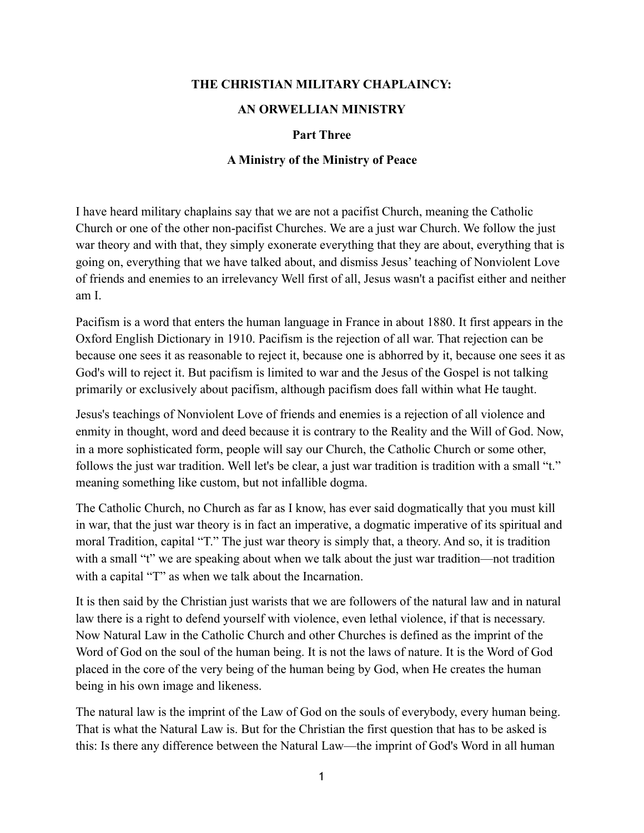## **THE CHRISTIAN MILITARY CHAPLAINCY:**

## **AN ORWELLIAN MINISTRY**

## **Part Three**

## **A Ministry of the Ministry of Peace**

I have heard military chaplains say that we are not a pacifist Church, meaning the Catholic Church or one of the other non-pacifist Churches. We are a just war Church. We follow the just war theory and with that, they simply exonerate everything that they are about, everything that is going on, everything that we have talked about, and dismiss Jesus' teaching of Nonviolent Love of friends and enemies to an irrelevancy Well first of all, Jesus wasn't a pacifist either and neither am I.

Pacifism is a word that enters the human language in France in about 1880. It first appears in the Oxford English Dictionary in 1910. Pacifism is the rejection of all war. That rejection can be because one sees it as reasonable to reject it, because one is abhorred by it, because one sees it as God's will to reject it. But pacifism is limited to war and the Jesus of the Gospel is not talking primarily or exclusively about pacifism, although pacifism does fall within what He taught.

Jesus's teachings of Nonviolent Love of friends and enemies is a rejection of all violence and enmity in thought, word and deed because it is contrary to the Reality and the Will of God. Now, in a more sophisticated form, people will say our Church, the Catholic Church or some other, follows the just war tradition. Well let's be clear, a just war tradition is tradition with a small "t." meaning something like custom, but not infallible dogma.

The Catholic Church, no Church as far as I know, has ever said dogmatically that you must kill in war, that the just war theory is in fact an imperative, a dogmatic imperative of its spiritual and moral Tradition, capital "T." The just war theory is simply that, a theory. And so, it is tradition with a small "t" we are speaking about when we talk about the just war tradition—not tradition with a capital "T" as when we talk about the Incarnation.

It is then said by the Christian just warists that we are followers of the natural law and in natural law there is a right to defend yourself with violence, even lethal violence, if that is necessary. Now Natural Law in the Catholic Church and other Churches is defined as the imprint of the Word of God on the soul of the human being. It is not the laws of nature. It is the Word of God placed in the core of the very being of the human being by God, when He creates the human being in his own image and likeness.

The natural law is the imprint of the Law of God on the souls of everybody, every human being. That is what the Natural Law is. But for the Christian the first question that has to be asked is this: Is there any difference between the Natural Law—the imprint of God's Word in all human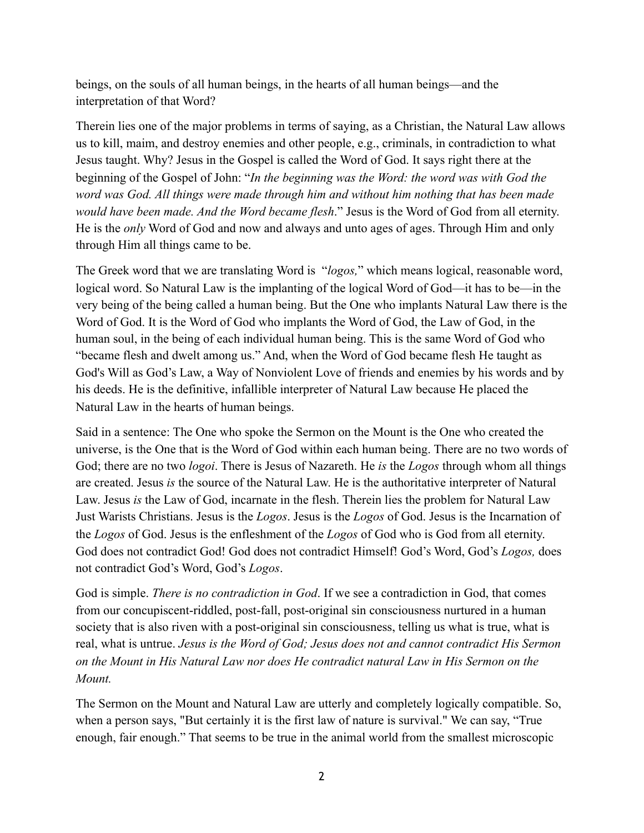beings, on the souls of all human beings, in the hearts of all human beings—and the interpretation of that Word?

Therein lies one of the major problems in terms of saying, as a Christian, the Natural Law allows us to kill, maim, and destroy enemies and other people, e.g., criminals, in contradiction to what Jesus taught. Why? Jesus in the Gospel is called the Word of God. It says right there at the beginning of the Gospel of John: "*In the beginning was the Word: the word was with God the word was God. All things were made through him and without him nothing that has been made would have been made. And the Word became flesh*." Jesus is the Word of God from all eternity. He is the *only* Word of God and now and always and unto ages of ages. Through Him and only through Him all things came to be.

The Greek word that we are translating Word is "*logos,*" which means logical, reasonable word, logical word. So Natural Law is the implanting of the logical Word of God—it has to be—in the very being of the being called a human being. But the One who implants Natural Law there is the Word of God. It is the Word of God who implants the Word of God, the Law of God, in the human soul, in the being of each individual human being. This is the same Word of God who "became flesh and dwelt among us." And, when the Word of God became flesh He taught as God's Will as God's Law, a Way of Nonviolent Love of friends and enemies by his words and by his deeds. He is the definitive, infallible interpreter of Natural Law because He placed the Natural Law in the hearts of human beings.

Said in a sentence: The One who spoke the Sermon on the Mount is the One who created the universe, is the One that is the Word of God within each human being. There are no two words of God; there are no two *logoi*. There is Jesus of Nazareth. He *is* the *Logos* through whom all things are created. Jesus *is* the source of the Natural Law. He is the authoritative interpreter of Natural Law. Jesus *is* the Law of God, incarnate in the flesh. Therein lies the problem for Natural Law Just Warists Christians. Jesus is the *Logos*. Jesus is the *Logos* of God. Jesus is the Incarnation of the *Logos* of God. Jesus is the enfleshment of the *Logos* of God who is God from all eternity. God does not contradict God! God does not contradict Himself! God's Word, God's *Logos,* does not contradict God's Word, God's *Logos*.

God is simple. *There is no contradiction in God*. If we see a contradiction in God, that comes from our concupiscent-riddled, post-fall, post-original sin consciousness nurtured in a human society that is also riven with a post-original sin consciousness, telling us what is true, what is real, what is untrue. *Jesus is the Word of God; Jesus does not and cannot contradict His Sermon on the Mount in His Natural Law nor does He contradict natural Law in His Sermon on the Mount.* 

The Sermon on the Mount and Natural Law are utterly and completely logically compatible. So, when a person says, "But certainly it is the first law of nature is survival." We can say, "True enough, fair enough." That seems to be true in the animal world from the smallest microscopic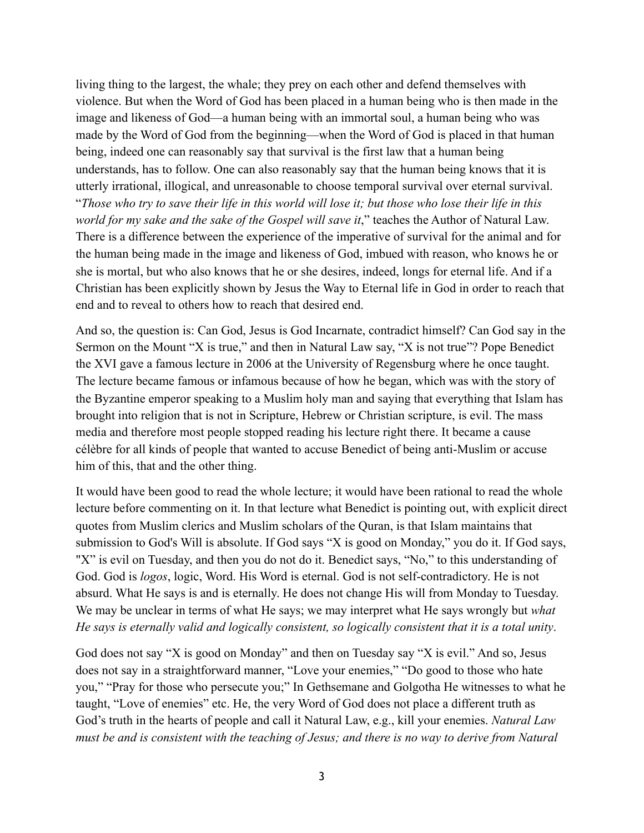living thing to the largest, the whale; they prey on each other and defend themselves with violence. But when the Word of God has been placed in a human being who is then made in the image and likeness of God—a human being with an immortal soul, a human being who was made by the Word of God from the beginning—when the Word of God is placed in that human being, indeed one can reasonably say that survival is the first law that a human being understands, has to follow. One can also reasonably say that the human being knows that it is utterly irrational, illogical, and unreasonable to choose temporal survival over eternal survival. "*Those who try to save their life in this world will lose it; but those who lose their life in this world for my sake and the sake of the Gospel will save it*," teaches the Author of Natural Law. There is a difference between the experience of the imperative of survival for the animal and for the human being made in the image and likeness of God, imbued with reason, who knows he or she is mortal, but who also knows that he or she desires, indeed, longs for eternal life. And if a Christian has been explicitly shown by Jesus the Way to Eternal life in God in order to reach that end and to reveal to others how to reach that desired end.

And so, the question is: Can God, Jesus is God Incarnate, contradict himself? Can God say in the Sermon on the Mount "X is true," and then in Natural Law say, "X is not true"? Pope Benedict the XVI gave a famous lecture in 2006 at the University of Regensburg where he once taught. The lecture became famous or infamous because of how he began, which was with the story of the Byzantine emperor speaking to a Muslim holy man and saying that everything that Islam has brought into religion that is not in Scripture, Hebrew or Christian scripture, is evil. The mass media and therefore most people stopped reading his lecture right there. It became a cause célèbre for all kinds of people that wanted to accuse Benedict of being anti-Muslim or accuse him of this, that and the other thing.

It would have been good to read the whole lecture; it would have been rational to read the whole lecture before commenting on it. In that lecture what Benedict is pointing out, with explicit direct quotes from Muslim clerics and Muslim scholars of the Quran, is that Islam maintains that submission to God's Will is absolute. If God says "X is good on Monday," you do it. If God says, "X" is evil on Tuesday, and then you do not do it. Benedict says, "No," to this understanding of God. God is *logos*, logic, Word. His Word is eternal. God is not self-contradictory. He is not absurd. What He says is and is eternally. He does not change His will from Monday to Tuesday. We may be unclear in terms of what He says; we may interpret what He says wrongly but *what He says is eternally valid and logically consistent, so logically consistent that it is a total unity*.

God does not say "X is good on Monday" and then on Tuesday say "X is evil." And so, Jesus does not say in a straightforward manner, "Love your enemies," "Do good to those who hate you," "Pray for those who persecute you;" In Gethsemane and Golgotha He witnesses to what he taught, "Love of enemies" etc. He, the very Word of God does not place a different truth as God's truth in the hearts of people and call it Natural Law, e.g., kill your enemies. *Natural Law must be and is consistent with the teaching of Jesus; and there is no way to derive from Natural*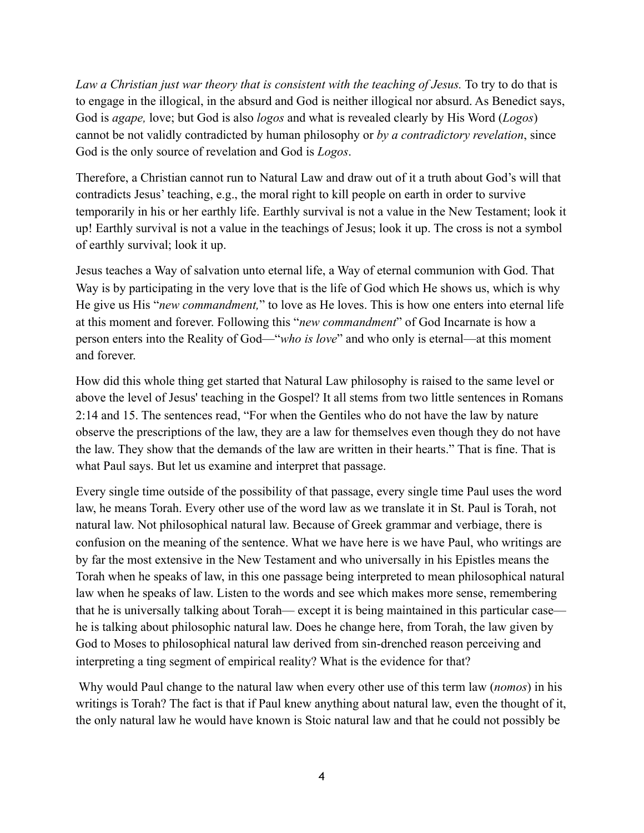*Law a Christian just war theory that is consistent with the teaching of Jesus.* To try to do that is to engage in the illogical, in the absurd and God is neither illogical nor absurd. As Benedict says, God is *agape,* love; but God is also *logos* and what is revealed clearly by His Word (*Logos*) cannot be not validly contradicted by human philosophy or *by a contradictory revelation*, since God is the only source of revelation and God is *Logos*.

Therefore, a Christian cannot run to Natural Law and draw out of it a truth about God's will that contradicts Jesus' teaching, e.g., the moral right to kill people on earth in order to survive temporarily in his or her earthly life. Earthly survival is not a value in the New Testament; look it up! Earthly survival is not a value in the teachings of Jesus; look it up. The cross is not a symbol of earthly survival; look it up.

Jesus teaches a Way of salvation unto eternal life, a Way of eternal communion with God. That Way is by participating in the very love that is the life of God which He shows us, which is why He give us His "*new commandment,*" to love as He loves. This is how one enters into eternal life at this moment and forever. Following this "*new commandment*" of God Incarnate is how a person enters into the Reality of God—"*who is love*" and who only is eternal—at this moment and forever.

How did this whole thing get started that Natural Law philosophy is raised to the same level or above the level of Jesus' teaching in the Gospel? It all stems from two little sentences in Romans 2:14 and 15. The sentences read, "For when the Gentiles who do not have the law by nature observe the prescriptions of the law, they are a law for themselves even though they do not have the law. They show that the demands of the law are written in their hearts." That is fine. That is what Paul says. But let us examine and interpret that passage.

Every single time outside of the possibility of that passage, every single time Paul uses the word law, he means Torah. Every other use of the word law as we translate it in St. Paul is Torah, not natural law. Not philosophical natural law. Because of Greek grammar and verbiage, there is confusion on the meaning of the sentence. What we have here is we have Paul, who writings are by far the most extensive in the New Testament and who universally in his Epistles means the Torah when he speaks of law, in this one passage being interpreted to mean philosophical natural law when he speaks of law. Listen to the words and see which makes more sense, remembering that he is universally talking about Torah— except it is being maintained in this particular case he is talking about philosophic natural law. Does he change here, from Torah, the law given by God to Moses to philosophical natural law derived from sin-drenched reason perceiving and interpreting a ting segment of empirical reality? What is the evidence for that?

 Why would Paul change to the natural law when every other use of this term law (*nomos*) in his writings is Torah? The fact is that if Paul knew anything about natural law, even the thought of it, the only natural law he would have known is Stoic natural law and that he could not possibly be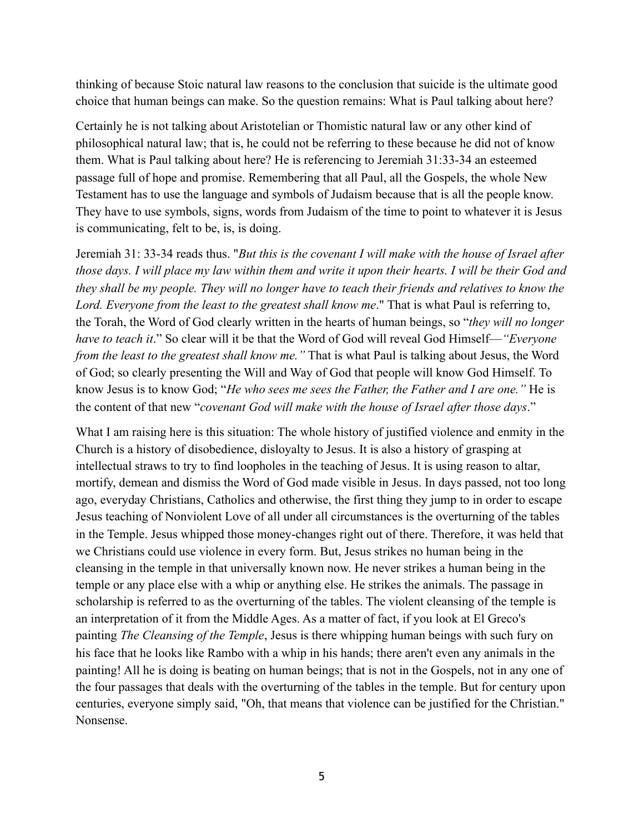thinking of because Stoic natural law reasons to the conclusion that suicide is the ultimate good choice that human beings can make. So the question remains: What is Paul talking about here?

Certainly he is not talking about Aristotelian or Thomistic natural law or any other kind of philosophical natural law; that is, he could not be referring to these because he did not of know them. What is Paul talking about here? He is referencing to Jeremiah 31:33-34 an esteemed passage full of hope and promise. Remembering that all Paul, all the Gospels, the whole New Testament has to use the language and symbols of Judaism because that is all the people know. They have to use symbols, signs, words from Judaism of the time to point to whatever it is Jesus is communicating, felt to be, is, is doing.

Jeremiah 31: 33-34 reads thus. "*But this is the covenant I will make with the house of Israel after those days. I will place my law within them and write it upon their hearts. I will be their God and they shall be my people. They will no longer have to teach their friends and relatives to know the Lord. Everyone from the least to the greatest shall know me*." That is what Paul is referring to, the Torah, the Word of God clearly written in the hearts of human beings, so "*they will no longer have to teach it*." So clear will it be that the Word of God will reveal God Himself—*"Everyone from the least to the greatest shall know me."* That is what Paul is talking about Jesus, the Word of God; so clearly presenting the Will and Way of God that people will know God Himself. To know Jesus is to know God; "*He who sees me sees the Father, the Father and I are one."* He is the content of that new "*covenant God will make with the house of Israel after those days*."

What I am raising here is this situation: The whole history of justified violence and enmity in the Church is a history of disobedience, disloyalty to Jesus. It is also a history of grasping at intellectual straws to try to find loopholes in the teaching of Jesus. It is using reason to altar, mortify, demean and dismiss the Word of God made visible in Jesus. In days passed, not too long ago, everyday Christians, Catholics and otherwise, the first thing they jump to in order to escape Jesus teaching of Nonviolent Love of all under all circumstances is the overturning of the tables in the Temple. Jesus whipped those money-changes right out of there. Therefore, it was held that we Christians could use violence in every form. But, Jesus strikes no human being in the cleansing in the temple in that universally known now. He never strikes a human being in the temple or any place else with a whip or anything else. He strikes the animals. The passage in scholarship is referred to as the overturning of the tables. The violent cleansing of the temple is an interpretation of it from the Middle Ages. As a matter of fact, if you look at El Greco's painting *The Cleansing of the Temple*, Jesus is there whipping human beings with such fury on his face that he looks like Rambo with a whip in his hands; there aren't even any animals in the painting! All he is doing is beating on human beings; that is not in the Gospels, not in any one of the four passages that deals with the overturning of the tables in the temple. But for century upon centuries, everyone simply said, "Oh, that means that violence can be justified for the Christian." Nonsense.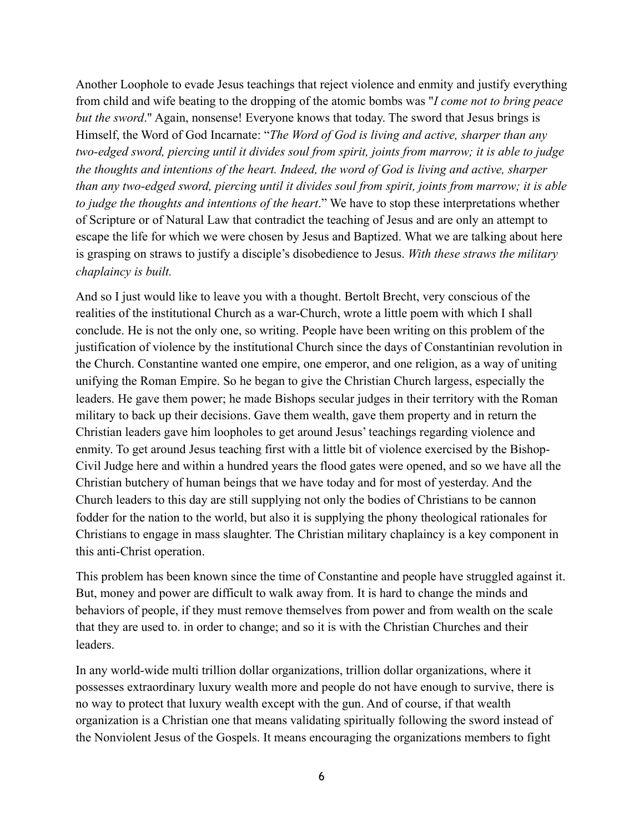Another Loophole to evade Jesus teachings that reject violence and enmity and justify everything from child and wife beating to the dropping of the atomic bombs was "*I come not to bring peace but the sword*." Again, nonsense! Everyone knows that today. The sword that Jesus brings is Himself, the Word of God Incarnate: "*The Word of God is living and active, sharper than any two-edged sword, piercing until it divides soul from spirit, joints from marrow; it is able to judge the thoughts and intentions of the heart. Indeed, the word of God is living and active, sharper than any two-edged sword, piercing until it divides soul from spirit, joints from marrow; it is able to judge the thoughts and intentions of the heart*." We have to stop these interpretations whether of Scripture or of Natural Law that contradict the teaching of Jesus and are only an attempt to escape the life for which we were chosen by Jesus and Baptized. What we are talking about here is grasping on straws to justify a disciple's disobedience to Jesus. *With these straws the military chaplaincy is built.* 

And so I just would like to leave you with a thought. Bertolt Brecht, very conscious of the realities of the institutional Church as a war-Church, wrote a little poem with which I shall conclude. He is not the only one, so writing. People have been writing on this problem of the justification of violence by the institutional Church since the days of Constantinian revolution in the Church. Constantine wanted one empire, one emperor, and one religion, as a way of uniting unifying the Roman Empire. So he began to give the Christian Church largess, especially the leaders. He gave them power; he made Bishops secular judges in their territory with the Roman military to back up their decisions. Gave them wealth, gave them property and in return the Christian leaders gave him loopholes to get around Jesus' teachings regarding violence and enmity. To get around Jesus teaching first with a little bit of violence exercised by the Bishop-Civil Judge here and within a hundred years the flood gates were opened, and so we have all the Christian butchery of human beings that we have today and for most of yesterday. And the Church leaders to this day are still supplying not only the bodies of Christians to be cannon fodder for the nation to the world, but also it is supplying the phony theological rationales for Christians to engage in mass slaughter. The Christian military chaplaincy is a key component in this anti-Christ operation.

This problem has been known since the time of Constantine and people have struggled against it. But, money and power are difficult to walk away from. It is hard to change the minds and behaviors of people, if they must remove themselves from power and from wealth on the scale that they are used to. in order to change; and so it is with the Christian Churches and their leaders.

In any world-wide multi trillion dollar organizations, trillion dollar organizations, where it possesses extraordinary luxury wealth more and people do not have enough to survive, there is no way to protect that luxury wealth except with the gun. And of course, if that wealth organization is a Christian one that means validating spiritually following the sword instead of the Nonviolent Jesus of the Gospels. It means encouraging the organizations members to fight